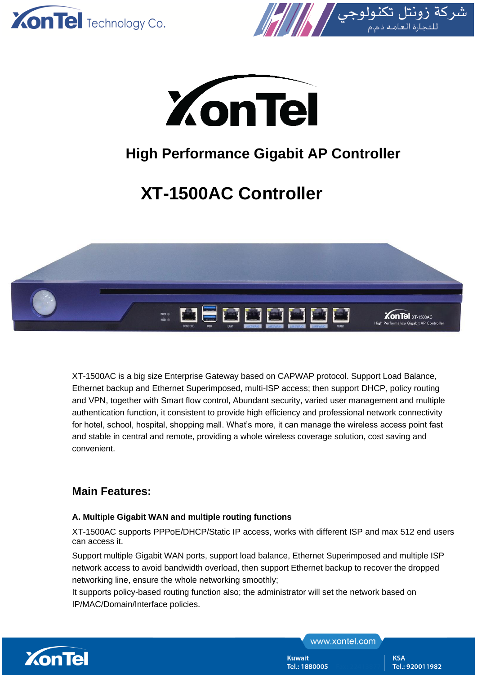





## **High Performance Gigabit AP Controller**

# **XT-1500AC Controller**



XT-1500AC is a big size Enterprise Gateway based on CAPWAP protocol. Support Load Balance, Ethernet backup and Ethernet Superimposed, multi-ISP access; then support DHCP, policy routing and VPN, together with Smart flow control, Abundant security, varied user management and multiple authentication function, it consistent to provide high efficiency and professional network connectivity for hotel, school, hospital, shopping mall. What's more, it can manage the wireless access point fast and stable in central and remote, providing a whole wireless coverage solution, cost saving and convenient.

### **Main Features:**

#### **A. Multiple Gigabit WAN and multiple routing functions**

XT-1500AC supports PPPoE/DHCP/Static IP access, works with different ISP and max 512 end users can access it.

Support multiple Gigabit WAN ports, support load balance, Ethernet Superimposed and multiple ISP network access to avoid bandwidth overload, then support Ethernet backup to recover the dropped networking line, ensure the whole networking smoothly;

It supports policy-based routing function also; the administrator will set the network based on IP/MAC/Domain/Interface policies.



www.xontel.com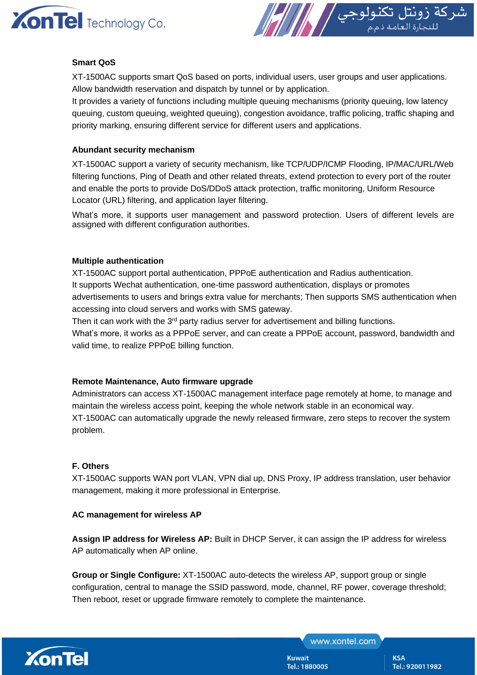



#### **Smart QoS**

XT-1500AC supports smart QoS based on ports, individual users, user groups and user applications. Allow bandwidth reservation and dispatch by tunnel or by application.

It provides a variety of functions including multiple queuing mechanisms (priority queuing, low latency queuing, custom queuing, weighted queuing), congestion avoidance, traffic policing, traffic shaping and priority marking, ensuring different service for different users and applications.

#### **Abundant security mechanism**

XT-1500AC support a variety of security mechanism, like TCP/UDP/ICMP Flooding, IP/MAC/URL/Web filtering functions, Ping of Death and other related threats, extend protection to every port of the router and enable the ports to provide DoS/DDoS attack protection, traffic monitoring, Uniform Resource Locator (URL) filtering, and application layer filtering.

What's more, it supports user management and password protection. Users of different levels are assigned with different configuration authorities.

#### **Multiple authentication**

XT-1500AC support portal authentication, PPPoE authentication and Radius authentication. It supports Wechat authentication, one-time password authentication, displays or promotes advertisements to users and brings extra value for merchants; Then supports SMS authentication when accessing into cloud servers and works with SMS gateway.

Then it can work with the 3<sup>rd</sup> party radius server for advertisement and billing functions.

What's more, it works as a PPPoE server, and can create a PPPoE account, password, bandwidth and valid time, to realize PPPoE billing function.

#### **Remote Maintenance, Auto firmware upgrade**

Administrators can access XT-1500AC management interface page remotely at home, to manage and maintain the wireless access point, keeping the whole network stable in an economical way. XT-1500AC can automatically upgrade the newly released firmware, zero steps to recover the system problem.

#### **F. Others**

XT-1500AC supports WAN port VLAN, VPN dial up, DNS Proxy, IP address translation, user behavior management, making it more professional in Enterprise.

#### **AC management for wireless AP**

Assign IP address for Wireless AP: Built in DHCP Server, it can assign the IP address for wireless AP automatically when AP online.

**Group or Single Configure:** XT-1500AC auto-detects the wireless AP, support group or single configuration, central to manage the SSID password, mode, channel, RF power, coverage threshold; Then reboot, reset or upgrade firmware remotely to complete the maintenance.



www.xontel.com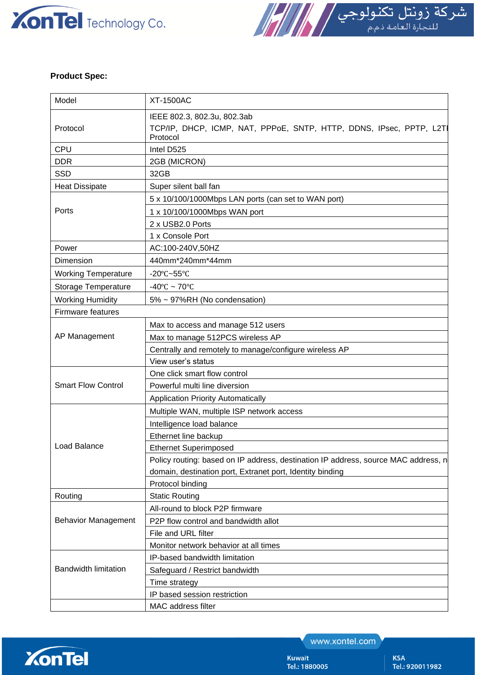



#### **Product Spec:**

| Model                       | <b>XT-1500AC</b>                                                                                               |
|-----------------------------|----------------------------------------------------------------------------------------------------------------|
| Protocol                    | IEEE 802.3, 802.3u, 802.3ab<br>TCP/IP, DHCP, ICMP, NAT, PPPoE, SNTP, HTTP, DDNS, IPsec, PPTP, L2TI<br>Protocol |
| <b>CPU</b>                  | Intel D525                                                                                                     |
| <b>DDR</b>                  | 2GB (MICRON)                                                                                                   |
| <b>SSD</b>                  | 32GB                                                                                                           |
| <b>Heat Dissipate</b>       | Super silent ball fan                                                                                          |
| Ports                       | 5 x 10/100/1000Mbps LAN ports (can set to WAN port)                                                            |
|                             | 1 x 10/100/1000Mbps WAN port                                                                                   |
|                             | 2 x USB2.0 Ports                                                                                               |
|                             | 1 x Console Port                                                                                               |
| Power                       | AC:100-240V,50HZ                                                                                               |
| Dimension                   | 440mm*240mm*44mm                                                                                               |
| <b>Working Temperature</b>  | -20 $\textdegree$ C~55 $\textdegree$ C                                                                         |
| <b>Storage Temperature</b>  | -40°C ~ 70°C                                                                                                   |
| <b>Working Humidity</b>     | 5% ~ 97%RH (No condensation)                                                                                   |
| Firmware features           |                                                                                                                |
| AP Management               | Max to access and manage 512 users                                                                             |
|                             | Max to manage 512PCS wireless AP                                                                               |
|                             | Centrally and remotely to manage/configure wireless AP                                                         |
|                             | View user's status                                                                                             |
| <b>Smart Flow Control</b>   | One click smart flow control                                                                                   |
|                             | Powerful multi line diversion                                                                                  |
|                             | <b>Application Priority Automatically</b>                                                                      |
| <b>Load Balance</b>         | Multiple WAN, multiple ISP network access                                                                      |
|                             | Intelligence load balance                                                                                      |
|                             | Ethernet line backup                                                                                           |
|                             | <b>Ethernet Superimposed</b>                                                                                   |
|                             | Policy routing: based on IP address, destination IP address, source MAC address, n                             |
|                             | domain, destination port, Extranet port, Identity binding                                                      |
|                             | Protocol binding                                                                                               |
| Routing                     | <b>Static Routing</b>                                                                                          |
| <b>Behavior Management</b>  | All-round to block P2P firmware                                                                                |
|                             | P2P flow control and bandwidth allot                                                                           |
|                             | File and URL filter                                                                                            |
|                             | Monitor network behavior at all times                                                                          |
| <b>Bandwidth limitation</b> | IP-based bandwidth limitation                                                                                  |
|                             | Safeguard / Restrict bandwidth                                                                                 |
|                             | Time strategy                                                                                                  |
|                             | IP based session restriction                                                                                   |
|                             | MAC address filter                                                                                             |



www.xontel.com